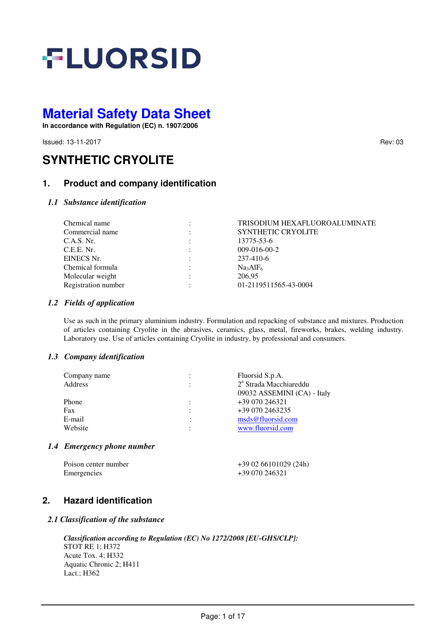

**In accordance with Regulation (EC) n. 1907/2006** 

**Issued: 13-11-2017** Rev: 03

# **SYNTHETIC CRYOLITE**

# **1. Product and company identification**

## *1.1 Substance identification*

| Chemical name       |           | TRISODIUM HEXAFLUOROALUMINATE    |
|---------------------|-----------|----------------------------------|
| Commercial name     |           | <b>SYNTHETIC CRYOLITE</b>        |
| C.A.S. Nr.          |           | 13775-53-6                       |
| C.E.E. Nr.          |           | $009-016-00-2$                   |
| EINECS Nr.          |           | 237-410-6                        |
| Chemical formula    |           | Na <sub>3</sub> AlF <sub>6</sub> |
| Molecular weight    | $\bullet$ | 206.95                           |
| Registration number |           | 01-2119511565-43-0004            |

## *1.2 Fields of application*

Use as such in the primary aluminium industry. Formulation and repacking of substance and mixtures. Production of articles containing Cryolite in the abrasives, ceramics, glass, metal, fireworks, brakes, welding industry. Laboratory use. Use of articles containing Cryolite in industry, by professional and consumers.

## *1.3 Company identification*

| Company name |   | Fluorsid S.p.A.                    |
|--------------|---|------------------------------------|
| Address      | ٠ | 2 <sup>ª</sup> Strada Macchiareddu |
|              |   | 09032 ASSEMINI (CA) - Italy        |
| Phone        |   | +39 070 246321                     |
| Fax          |   | +39 070 2463235                    |
| E-mail       | ٠ | msds@fluorsid.com                  |
| Website      |   | www.fluorsid.com                   |
|              |   |                                    |

## *1.4 Emergency phone number*

| Poison center number | +39 02 66101029 (24h) |
|----------------------|-----------------------|
| Emergencies          | +39 070 246321        |

# **2. Hazard identification**

## *2.1 Classification of the substance*

*Classification according to Regulation (EC) No 1272/2008 [EU-GHS/CLP]:* STOT RE 1; H372 Acute Tox. 4; H332 Aquatic Chronic 2; H411 Lact.; H362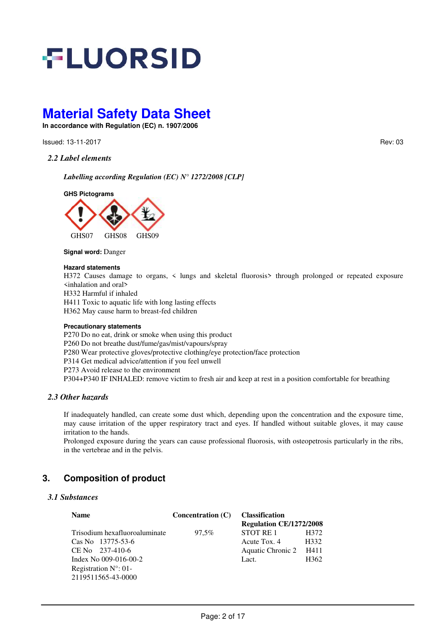

**In accordance with Regulation (EC) n. 1907/2006** 

**Issued: 13-11-2017** Rev: 03

#### *2.2 Label elements*

*Labelling according Regulation (EC) N° 1272/2008 [CLP]* 

**GHS Pictograms**



#### **Signal word:** Danger

#### **Hazard statements**

H372 Causes damage to organs, < lungs and skeletal fluorosis> through prolonged or repeated exposure <inhalation and oral>

H332 Harmful if inhaled

H411 Toxic to aquatic life with long lasting effects

H362 May cause harm to breast-fed children

#### **Precautionary statements**

P270 Do no eat, drink or smoke when using this product P260 Do not breathe dust/fume/gas/mist/vapours/spray P280 Wear protective gloves/protective clothing/eye protection/face protection P314 Get medical advice/attention if you feel unwell P273 Avoid release to the environment P304+P340 IF INHALED: remove victim to fresh air and keep at rest in a position comfortable for breathing

#### *2.3 Other hazards*

If inadequately handled, can create some dust which, depending upon the concentration and the exposure time, may cause irritation of the upper respiratory tract and eyes. If handled without suitable gloves, it may cause irritation to the hands.

Prolonged exposure during the years can cause professional fluorosis, with osteopetrosis particularly in the ribs, in the vertebrae and in the pelvis.

# **3. Composition of product**

## *3.1 Substances*

| <b>Name</b>                    | Concentration (C) | <b>Classification</b>          |                  |
|--------------------------------|-------------------|--------------------------------|------------------|
|                                |                   | <b>Regulation CE/1272/2008</b> |                  |
| Trisodium hexafluoroaluminate  | 97.5%             | STOT RE 1                      | H372             |
| Cas No. 13775-53-6             |                   | Acute Tox. 4                   | H332             |
| $CE$ No $237-410-6$            |                   | Aquatic Chronic 2              | H411             |
| Index No $009-016-00-2$        |                   | Lact.                          | H <sub>362</sub> |
| Registration $N^{\circ}$ : 01- |                   |                                |                  |
| 2119511565-43-0000             |                   |                                |                  |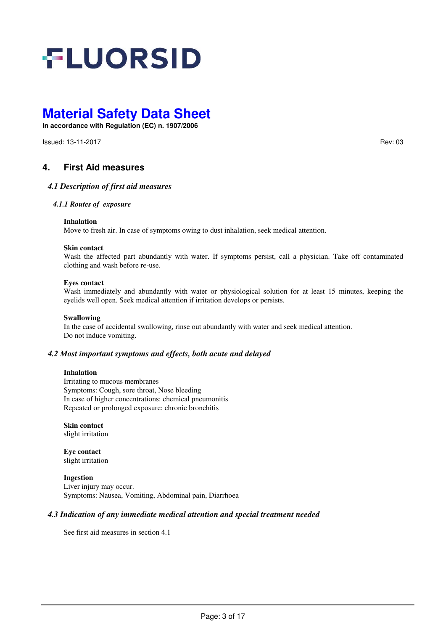

**In accordance with Regulation (EC) n. 1907/2006** 

**Issued: 13-11-2017** Rev: 03

# **4. First Aid measures**

#### *4.1 Description of first aid measures*

#### *4.1.1 Routes of exposure*

#### **Inhalation**

Move to fresh air. In case of symptoms owing to dust inhalation, seek medical attention.

#### **Skin contact**

Wash the affected part abundantly with water. If symptoms persist, call a physician. Take off contaminated clothing and wash before re-use.

#### **Eyes contact**

Wash immediately and abundantly with water or physiological solution for at least 15 minutes, keeping the eyelids well open. Seek medical attention if irritation develops or persists.

#### **Swallowing**

In the case of accidental swallowing, rinse out abundantly with water and seek medical attention. Do not induce vomiting.

#### *4.2 Most important symptoms and effects, both acute and delayed*

#### **Inhalation**

Irritating to mucous membranes Symptoms: Cough, sore throat, Nose bleeding In case of higher concentrations: chemical pneumonitis Repeated or prolonged exposure: chronic bronchitis

**Skin contact**  slight irritation

**Eye contact**  slight irritation

**Ingestion**  Liver injury may occur. Symptoms: Nausea, Vomiting, Abdominal pain, Diarrhoea

#### *4.3 Indication of any immediate medical attention and special treatment needed*

See first aid measures in section 4.1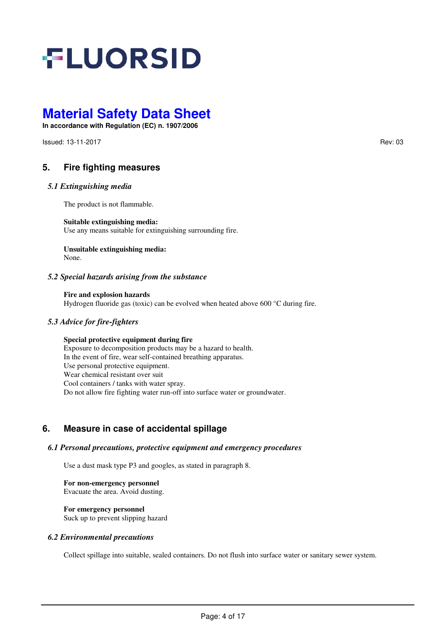

**In accordance with Regulation (EC) n. 1907/2006** 

**Issued: 13-11-2017** Rev: 03

# **5. Fire fighting measures**

#### *5.1 Extinguishing media*

The product is not flammable.

#### **Suitable extinguishing media:**

Use any means suitable for extinguishing surrounding fire.

#### **Unsuitable extinguishing media:** None.

#### *5.2 Special hazards arising from the substance*

**Fire and explosion hazards** Hydrogen fluoride gas (toxic) can be evolved when heated above 600 °C during fire.

## *5.3 Advice for fire-fighters*

## **Special protective equipment during fire**

Exposure to decomposition products may be a hazard to health. In the event of fire, wear self-contained breathing apparatus. Use personal protective equipment. Wear chemical resistant over suit Cool containers / tanks with water spray. Do not allow fire fighting water run-off into surface water or groundwater.

# **6. Measure in case of accidental spillage**

#### *6.1 Personal precautions, protective equipment and emergency procedures*

Use a dust mask type P3 and googles, as stated in paragraph 8.

**For non-emergency personnel**  Evacuate the area. Avoid dusting.

#### **For emergency personnel**

Suck up to prevent slipping hazard

#### *6.2 Environmental precautions*

Collect spillage into suitable, sealed containers. Do not flush into surface water or sanitary sewer system.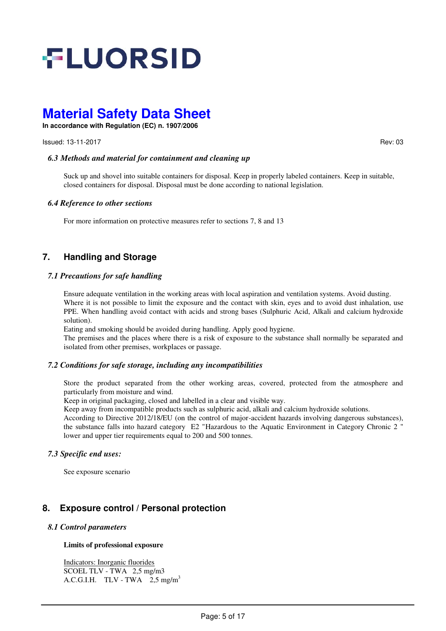

**In accordance with Regulation (EC) n. 1907/2006** 

**Issued: 13-11-2017** Rev: 03

## *6.3 Methods and material for containment and cleaning up*

Suck up and shovel into suitable containers for disposal. Keep in properly labeled containers. Keep in suitable, closed containers for disposal. Disposal must be done according to national legislation.

#### *6.4 Reference to other sections*

For more information on protective measures refer to sections 7, 8 and 13

# **7. Handling and Storage**

#### *7.1 Precautions for safe handling*

Ensure adequate ventilation in the working areas with local aspiration and ventilation systems. Avoid dusting. Where it is not possible to limit the exposure and the contact with skin, eyes and to avoid dust inhalation, use PPE. When handling avoid contact with acids and strong bases (Sulphuric Acid, Alkali and calcium hydroxide solution).

Eating and smoking should be avoided during handling. Apply good hygiene.

The premises and the places where there is a risk of exposure to the substance shall normally be separated and isolated from other premises, workplaces or passage.

## *7.2 Conditions for safe storage, including any incompatibilities*

 Store the product separated from the other working areas, covered, protected from the atmosphere and particularly from moisture and wind.

Keep in original packaging, closed and labelled in a clear and visible way.

Keep away from incompatible products such as sulphuric acid, alkali and calcium hydroxide solutions.

According to Directive 2012/18/EU (on the control of major-accident hazards involving dangerous substances), the substance falls into hazard category E2 "Hazardous to the Aquatic Environment in Category Chronic 2 " lower and upper tier requirements equal to 200 and 500 tonnes.

## *7.3 Specific end uses:*

See exposure scenario

# **8. Exposure control / Personal protection**

#### *8.1 Control parameters*

#### **Limits of professional exposure**

Indicators: Inorganic fluorides SCOEL TLV - TWA 2,5 mg/m3 A.C.G.I.H. TLV - TWA2,5 mg/m<sup>3</sup>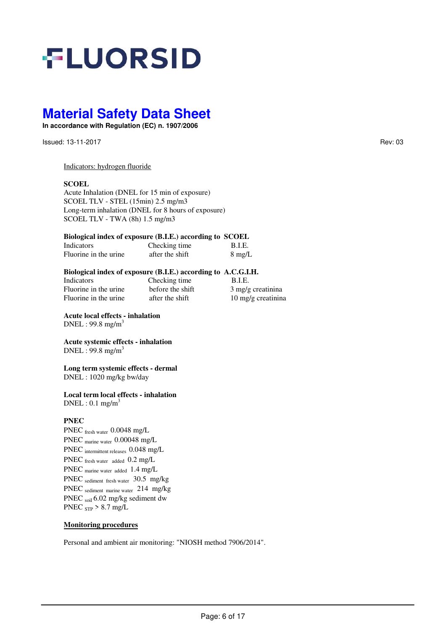# **FLUORSID**

# **Material Safety Data Sheet**

**In accordance with Regulation (EC) n. 1907/2006** 

Issued: 13-11-2017 Rev: 03

#### Indicators: hydrogen fluoride

#### **SCOEL**

Acute Inhalation (DNEL for 15 min of exposure) SCOEL TLV - STEL (15min) 2.5 mg/m3 Long-term inhalation (DNEL for 8 hours of exposure) SCOEL TLV - TWA (8h) 1.5 mg/m3

#### **Biological index of exposure (B.I.E.) according to SCOEL**

| Indicators            | Checking time   | B.I.E.           |
|-----------------------|-----------------|------------------|
| Fluorine in the urine | after the shift | $8 \text{ mg/L}$ |

#### **Biological index of exposure (B.I.E.) according to A.C.G.I.H.**

| Indicators            | Checking time    | B.I.E.                      |
|-----------------------|------------------|-----------------------------|
| Fluorine in the urine | before the shift | $3 \text{ mg/g}$ creatinina |
| Fluorine in the urine | after the shift  | 10 mg/g creatinina          |

**Acute local effects - inhalation**   $DNEL$ : 99.8 mg/m<sup>3</sup>

#### **Acute systemic effects - inhalation**   $DNEL: 99.8$  mg/m<sup>3</sup>

#### **Long term systemic effects - dermal** DNEL : 1020 mg/kg bw/day

#### **Local term local effects - inhalation**  $DNEL: 0.1$  mg/m<sup>3</sup>

## **PNEC**

PNEC fresh water 0.0048 mg/L PNEC marine water 0.00048 mg/L PNEC intermittent releases 0.048 mg/L PNEC fresh water added 0.2 mg/L PNEC marine water added 1.4 mg/L PNEC sediment fresh water 30.5 mg/kg PNEC sediment marine water 214 mg/kg PNEC soil 6.02 mg/kg sediment dw PNEC  $_{\rm STP}$  > 8.7 mg/L

#### **Monitoring procedures**

Personal and ambient air monitoring: "NIOSH method 7906/2014".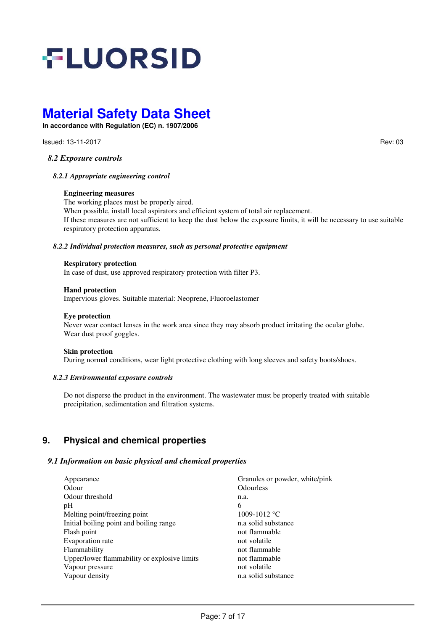# **FLUORSID**

# **Material Safety Data Sheet**

**In accordance with Regulation (EC) n. 1907/2006** 

**Issued: 13-11-2017** Rev: 03

*8.2 Exposure controls* 

*8.2.1 Appropriate engineering control* 

#### **Engineering measures**

The working places must be properly aired.

When possible, install local aspirators and efficient system of total air replacement. If these measures are not sufficient to keep the dust below the exposure limits, it will be necessary to use suitable respiratory protection apparatus.

#### *8.2.2 Individual protection measures, such as personal protective equipment*

#### **Respiratory protection**

In case of dust, use approved respiratory protection with filter P3.

#### **Hand protection**

Impervious gloves. Suitable material: Neoprene, Fluoroelastomer

#### **Eye protection**

Never wear contact lenses in the work area since they may absorb product irritating the ocular globe. Wear dust proof goggles.

#### **Skin protection**

During normal conditions, wear light protective clothing with long sleeves and safety boots/shoes.

#### *8.2.3 Environmental exposure controls*

Do not disperse the product in the environment. The wastewater must be properly treated with suitable precipitation, sedimentation and filtration systems.

# **9. Physical and chemical properties**

## *9.1 Information on basic physical and chemical properties*

| Appearance                                   | Granules or powder, white/pink |
|----------------------------------------------|--------------------------------|
| Odour                                        | <b>Odourless</b>               |
| Odour threshold                              | n.a.                           |
| pH                                           | 6                              |
| Melting point/freezing point                 | 1009-1012 °C                   |
| Initial boiling point and boiling range      | n.a solid substance            |
| Flash point                                  | not flammable                  |
| Evaporation rate                             | not volatile                   |
| Flammability                                 | not flammable                  |
| Upper/lower flammability or explosive limits | not flammable                  |
| Vapour pressure                              | not volatile                   |
| Vapour density                               | n.a solid substance            |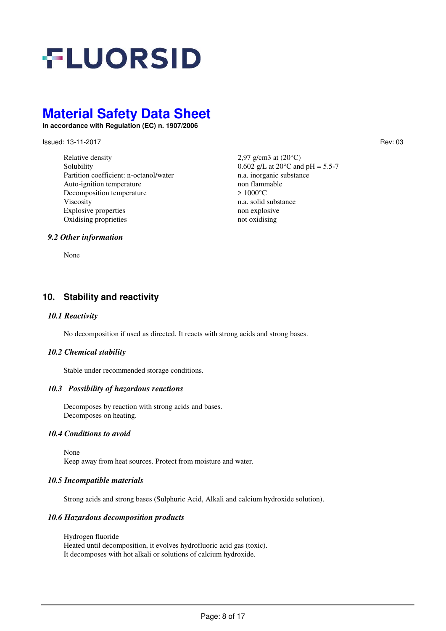# **FLUORSID**

# **Material Safety Data Sheet**

**In accordance with Regulation (EC) n. 1907/2006** 

Issued: 13-11-2017 Rev: 03

Relative density  $2.97 \text{ g/cm}3 \text{ at } (20^{\circ}\text{C})$ Solubility 0.602 g/L at  $20^{\circ}$ C and pH = 5.5-7 Partition coefficient: n-octanol/water n.a. inorganic substance<br>Auto-ignition temperature non flammable Auto-ignition temperature Decomposition temperature > 1000°C Viscosity n.a. solid substance<br>Explosive properties non explosive non explosive Explosive properties Oxidising proprieties not oxidising

## *9.2 Other information*

None

# **10. Stability and reactivity**

#### *10.1 Reactivity*

No decomposition if used as directed. It reacts with strong acids and strong bases.

#### *10.2 Chemical stability*

Stable under recommended storage conditions.

#### *10.3 Possibility of hazardous reactions*

Decomposes by reaction with strong acids and bases. Decomposes on heating.

#### *10.4 Conditions to avoid*

None

Keep away from heat sources. Protect from moisture and water.

#### *10.5 Incompatible materials*

Strong acids and strong bases (Sulphuric Acid, Alkali and calcium hydroxide solution).

#### *10.6 Hazardous decomposition products*

Hydrogen fluoride Heated until decomposition, it evolves hydrofluoric acid gas (toxic). It decomposes with hot alkali or solutions of calcium hydroxide.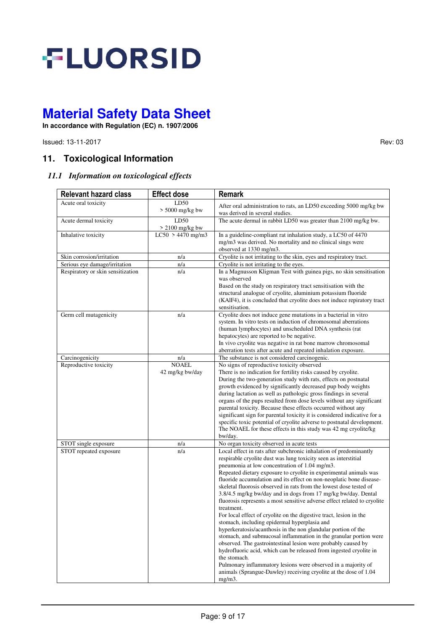

**In accordance with Regulation (EC) n. 1907/2006** 

**Issued: 13-11-2017** Rev: 03

# **11. Toxicological Information**

## *11.1 Information on toxicological effects*

| <b>Relevant hazard class</b>      | <b>Effect dose</b>              | <b>Remark</b>                                                                                                                                                                                                                                                                                                                                                                                                                                                                                                                                                                                                                                                                                                                                                                                                                                                                                                                                                                                                                                                                                                                           |
|-----------------------------------|---------------------------------|-----------------------------------------------------------------------------------------------------------------------------------------------------------------------------------------------------------------------------------------------------------------------------------------------------------------------------------------------------------------------------------------------------------------------------------------------------------------------------------------------------------------------------------------------------------------------------------------------------------------------------------------------------------------------------------------------------------------------------------------------------------------------------------------------------------------------------------------------------------------------------------------------------------------------------------------------------------------------------------------------------------------------------------------------------------------------------------------------------------------------------------------|
| Acute oral toxicity               | LD50<br>$> 5000$ mg/kg bw       | After oral administration to rats, an LD50 exceeding 5000 mg/kg bw<br>was derived in several studies.                                                                                                                                                                                                                                                                                                                                                                                                                                                                                                                                                                                                                                                                                                                                                                                                                                                                                                                                                                                                                                   |
| Acute dermal toxicity             | LD50<br>$> 2100$ mg/kg bw       | The acute dermal in rabbit LD50 was greater than 2100 mg/kg bw.                                                                                                                                                                                                                                                                                                                                                                                                                                                                                                                                                                                                                                                                                                                                                                                                                                                                                                                                                                                                                                                                         |
| Inhalative toxicity               | $LC50 > 4470$ mg/m3             | In a guideline-compliant rat inhalation study, a LC50 of 4470<br>mg/m3 was derived. No mortality and no clinical sings were<br>observed at 1330 mg/m3.                                                                                                                                                                                                                                                                                                                                                                                                                                                                                                                                                                                                                                                                                                                                                                                                                                                                                                                                                                                  |
| Skin corrosion/irritation         | n/a                             | Cryolite is not irritating to the skin, eyes and respiratory tract.                                                                                                                                                                                                                                                                                                                                                                                                                                                                                                                                                                                                                                                                                                                                                                                                                                                                                                                                                                                                                                                                     |
| Serious eye damage/irritation     | n/a                             | Cryolite is not irritating to the eyes.                                                                                                                                                                                                                                                                                                                                                                                                                                                                                                                                                                                                                                                                                                                                                                                                                                                                                                                                                                                                                                                                                                 |
| Respiratory or skin sensitization | n/a                             | In a Magnusson Kligman Test with guinea pigs, no skin sensitisation<br>was observed<br>Based on the study on respiratory tract sensitisation with the<br>structural analogue of cryolite, aluminium potassium fluoride<br>(KAIF4), it is concluded that cryolite does not induce repiratory tract<br>sensitisation.                                                                                                                                                                                                                                                                                                                                                                                                                                                                                                                                                                                                                                                                                                                                                                                                                     |
| Germ cell mutagenicity            | n/a                             | Cryolite does not induce gene mutations in a bacterial in vitro<br>system. In vitro tests on induction of chromosomal aberrations<br>(human lymphocytes) and unscheduled DNA synthesis (rat<br>hepatocytes) are reported to be negative.<br>In vivo cryolite was negative in rat bone marrow chromosomal<br>aberration tests after acute and repeated inhalation exposure.                                                                                                                                                                                                                                                                                                                                                                                                                                                                                                                                                                                                                                                                                                                                                              |
| Carcinogenicity                   | n/a                             | The substance is not considered carcinogenic.                                                                                                                                                                                                                                                                                                                                                                                                                                                                                                                                                                                                                                                                                                                                                                                                                                                                                                                                                                                                                                                                                           |
| Reproductive toxicity             | <b>NOAEL</b><br>42 mg/kg bw/day | No signs of reproductive toxicity observed<br>There is no indication for fertility risks caused by cryolite.<br>During the two-generation study with rats, effects on postnatal<br>growth evidenced by significantly decreased pup body weights<br>during lactation as well as pathologic gross findings in several<br>organs of the pups resulted from dose levels without any significant<br>parental toxicity. Because these effects occurred without any<br>significant sign for parental toxicity it is considered indicative for a<br>specific toxic potential of cryolite adverse to postnatal development.<br>The NOAEL for these effects in this study was 42 mg cryolite/kg<br>bw/day.                                                                                                                                                                                                                                                                                                                                                                                                                                        |
| STOT single exposure              | n/a                             | No organ toxicity observed in acute tests                                                                                                                                                                                                                                                                                                                                                                                                                                                                                                                                                                                                                                                                                                                                                                                                                                                                                                                                                                                                                                                                                               |
| STOT repeated exposure            | n/a                             | Local effect in rats after subchronic inhalation of predominantly<br>respirable cryolite dust was lung toxicity seen as interstitial<br>pneumonia at low concentration of 1.04 mg/m3.<br>Repeated dietary exposure to cryolite in experimental animals was<br>fluoride accumulation and its effect on non-neoplatic bone disease-<br>skeletal fluorosis observed in rats from the lowest dose tested of<br>3.8/4.5 mg/kg bw/day and in dogs from 17 mg/kg bw/day. Dental<br>fluorosis represents a most sensitive adverse effect related to cryolite<br>treatment.<br>For local effect of cryolite on the digestive tract, lesion in the<br>stomach, including epidermal hyperplasia and<br>hyperkeratosis/acanthosis in the non glandular portion of the<br>stomach, and submucosal inflammation in the granular portion were<br>observed. The gastrointestinal lesion were probably caused by<br>hydrofluoric acid, which can be released from ingested cryolite in<br>the stomach.<br>Pulmonary inflammatory lesions were observed in a majority of<br>animals (Sprangue-Dawley) receiving cryolite at the dose of 1.04<br>$mg/m3$ . |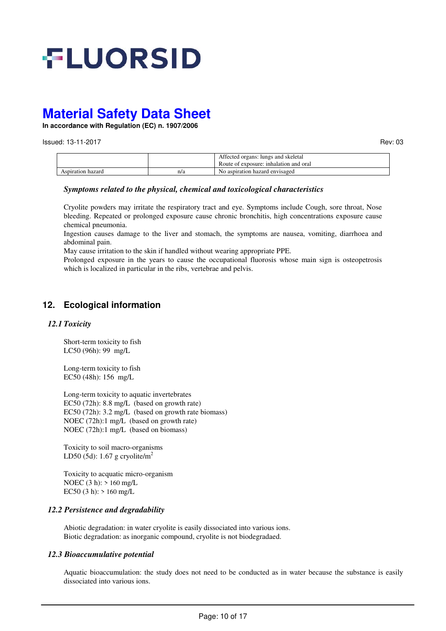

**In accordance with Regulation (EC) n. 1907/2006** 

**Issued: 13-11-2017** Rev: 03

|                   |     | Affected organs: lungs and skeletal<br>Route of exposure: inhalation and oral |
|-------------------|-----|-------------------------------------------------------------------------------|
| Aspiration hazard | n/a | No aspiration hazard envisaged                                                |

#### *Symptoms related to the physical, chemical and toxicological characteristics*

Cryolite powders may irritate the respiratory tract and eye. Symptoms include Cough, sore throat, Nose bleeding. Repeated or prolonged exposure cause chronic bronchitis, high concentrations exposure cause chemical pneumonia.

Ingestion causes damage to the liver and stomach, the symptoms are nausea, vomiting, diarrhoea and abdominal pain.

May cause irritation to the skin if handled without wearing appropriate PPE.

Prolonged exposure in the years to cause the occupational fluorosis whose main sign is osteopetrosis which is localized in particular in the ribs, vertebrae and pelvis.

# **12. Ecological information**

## *12.1 Toxicity*

Short-term toxicity to fish LC50 (96h): 99 mg/L

Long-term toxicity to fish EC50 (48h): 156 mg/L

Long-term toxicity to aquatic invertebrates EC50 (72h): 8.8 mg/L (based on growth rate) EC50 (72h): 3.2 mg/L (based on growth rate biomass) NOEC (72h):1 mg/L (based on growth rate) NOEC (72h):1 mg/L (based on biomass)

Toxicity to soil macro-organisms LD50 (5d): 1.67 g cryolite/m<sup>2</sup>

Toxicity to acquatic micro-organism NOEC (3 h): > 160 mg/L EC50 (3 h):  $> 160$  mg/L

## *12.2 Persistence and degradability*

Abiotic degradation: in water cryolite is easily dissociated into various ions. Biotic degradation: as inorganic compound, cryolite is not biodegradaed.

#### *12.3 Bioaccumulative potential*

Aquatic bioaccumulation: the study does not need to be conducted as in water because the substance is easily dissociated into various ions.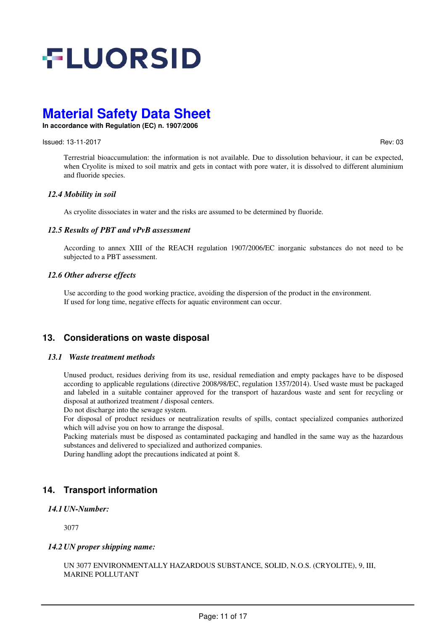

**In accordance with Regulation (EC) n. 1907/2006** 

#### **Issued: 13-11-2017** Rev: 03

Terrestrial bioaccumulation: the information is not available. Due to dissolution behaviour, it can be expected, when Cryolite is mixed to soil matrix and gets in contact with pore water, it is dissolved to different aluminium and fluoride species.

#### *12.4 Mobility in soil*

As cryolite dissociates in water and the risks are assumed to be determined by fluoride.

#### *12.5 Results of PBT and vPvB assessment*

According to annex XIII of the REACH regulation 1907/2006/EC inorganic substances do not need to be subjected to a PBT assessment.

#### *12.6 Other adverse effects*

Use according to the good working practice, avoiding the dispersion of the product in the environment. If used for long time, negative effects for aquatic environment can occur.

# **13. Considerations on waste disposal**

#### *13.1 Waste treatment methods*

Unused product, residues deriving from its use, residual remediation and empty packages have to be disposed according to applicable regulations (directive 2008/98/EC, regulation 1357/2014). Used waste must be packaged and labeled in a suitable container approved for the transport of hazardous waste and sent for recycling or disposal at authorized treatment / disposal centers.

Do not discharge into the sewage system.

For disposal of product residues or neutralization results of spills, contact specialized companies authorized which will advise you on how to arrange the disposal.

Packing materials must be disposed as contaminated packaging and handled in the same way as the hazardous substances and delivered to specialized and authorized companies.

During handling adopt the precautions indicated at point 8.

# **14. Transport information**

#### *14.1 UN-Number:*

3077

## *14.2 UN proper shipping name:*

UN 3077 ENVIRONMENTALLY HAZARDOUS SUBSTANCE, SOLID, N.O.S. (CRYOLITE), 9, III, MARINE POLLUTANT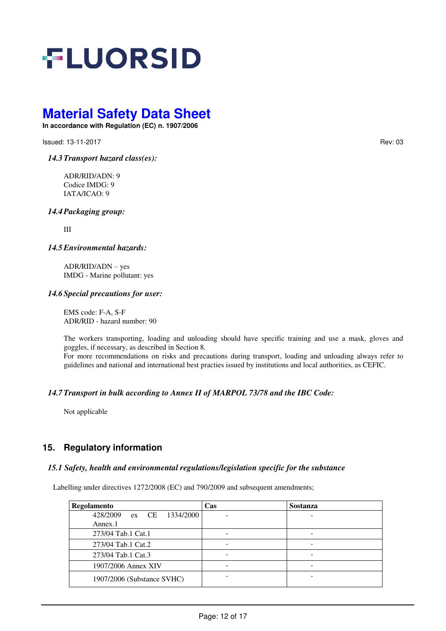

**In accordance with Regulation (EC) n. 1907/2006** 

**Issued: 13-11-2017** Rev: 03

*14.3Transport hazard class(es):* 

ADR/RID/ADN: 9 Codice IMDG: 9 IATA/ICAO: 9

*14.4Packaging group:* 

III

*14.5Environmental hazards:* 

ADR/RID/ADN – yes IMDG - Marine pollutant: yes

#### *14.6 Special precautions for user:*

EMS code: F-A, S-F ADR/RID - hazard number: 90

The workers transporting, loading and unloading should have specific training and use a mask, gloves and goggles, if necessary, as described in Section 8.

For more recommendations on risks and precautions during transport, loading and unloading always refer to guidelines and national and international best practies issued by institutions and local authorities, as CEFIC.

#### *14.7Transport in bulk according to Annex II of MARPOL 73/78 and the IBC Code:*

Not applicable

# **15. Regulatory information**

#### *15.1 Safety, health and environmental regulations/legislation specific for the substance*

Labelling under directives 1272/2008 (EC) and 790/2009 and subsequent amendments;

| Regolamento                 | Cas | <b>Sostanza</b> |
|-----------------------------|-----|-----------------|
| 428/2009<br>ex CE 1334/2000 |     |                 |
| Annex.1                     |     |                 |
| 273/04 Tab.1 Cat.1          |     |                 |
| 273/04 Tab.1 Cat.2          |     |                 |
| 273/04 Tab.1 Cat.3          |     |                 |
| 1907/2006 Annex XIV         |     |                 |
| 1907/2006 (Substance SVHC)  |     |                 |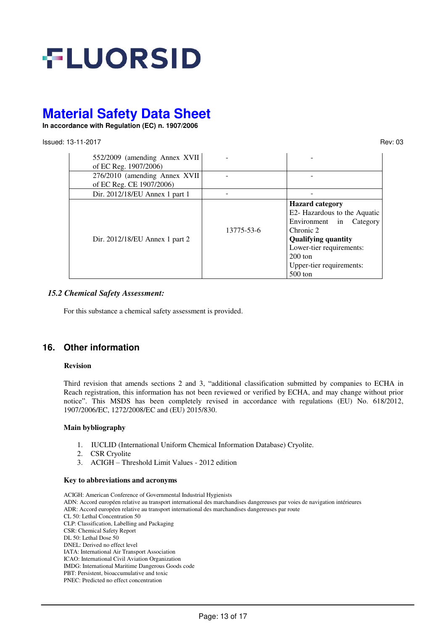

**In accordance with Regulation (EC) n. 1907/2006** 

#### **Issued: 13-11-2017** Rev: 03

| 552/2009 (amending Annex XVII<br>of EC Reg. 1907/2006) |            |                                                                                                                                                                                                                   |
|--------------------------------------------------------|------------|-------------------------------------------------------------------------------------------------------------------------------------------------------------------------------------------------------------------|
| 276/2010 (amending Annex XVII                          |            |                                                                                                                                                                                                                   |
| of EC Reg. CE 1907/2006)                               |            |                                                                                                                                                                                                                   |
| Dir. 2012/18/EU Annex 1 part 1                         |            |                                                                                                                                                                                                                   |
| Dir. 2012/18/EU Annex 1 part 2                         | 13775-53-6 | <b>Hazard category</b><br>E2- Hazardous to the Aquatic<br>Environment in<br>Category<br>Chronic 2<br><b>Qualifying quantity</b><br>Lower-tier requirements:<br>$200$ ton<br>Upper-tier requirements:<br>$500$ ton |

#### *15.2 Chemical Safety Assessment:*

For this substance a chemical safety assessment is provided.

# **16. Other information**

#### **Revision**

Third revision that amends sections 2 and 3, "additional classification submitted by companies to ECHA in Reach registration, this information has not been reviewed or verified by ECHA, and may change without prior notice". This MSDS has been completely revised in accordance with regulations (EU) No. 618/2012, 1907/2006/EC, 1272/2008/EC and (EU) 2015/830.

#### **Main bybliography**

- 1. IUCLID (International Uniform Chemical Information Database) Cryolite.
- 2. CSR Cryolite
- 3. ACIGH Threshold Limit Values 2012 edition

#### **Key to abbreviations and acronyms**

ACIGH: American Conference of Governmental Industrial Hygienists ADN: Accord européen relative au transport international des marchandises dangereuses par voies de navigation intérieures ADR: Accord européen relative au transport international des marchandises dangereuses par route CL 50: Lethal Concentration 50 CLP: Classification, Labelling and Packaging CSR: Chemical Safety Report DL 50: Lethal Dose 50 DNEL: Derived no effect level IATA: International Air Transport Association ICAO: International Civil Aviation Organization IMDG: International Maritime Dangerous Goods code PBT: Persistent, bioaccumulative and toxic PNEC: Predicted no effect concentration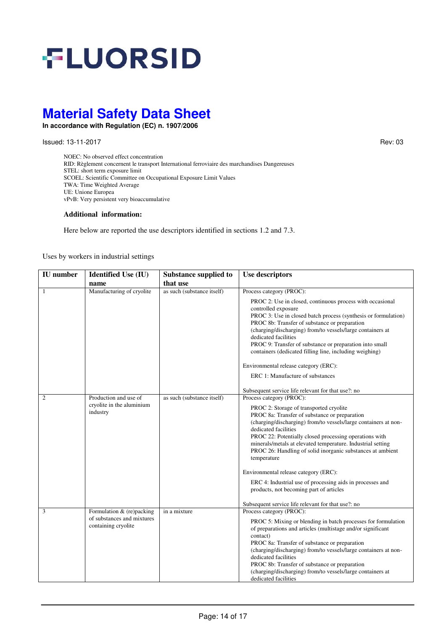

**In accordance with Regulation (EC) n. 1907/2006** 

Issued: 13-11-2017 Rev: 03

NOEC: No observed effect concentration RID: Règlement concernent le transport International ferroviaire des marchandises Dangereuses STEL: short term exposure limit SCOEL: Scientific Committee on Occupational Exposure Limit Values TWA: Time Weighted Average UE: Unione Europea vPvB: Very persistent very bioaccumulative

#### **Additional information:**

Here below are reported the use descriptors identified in sections 1.2 and 7.3.

Uses by workers in industrial settings

| <b>IU</b> number | <b>Identified Use (IU)</b>                        | <b>Substance supplied to</b> | <b>Use descriptors</b>                                                                                                                                                                                                                                                                                                                                                                                                      |
|------------------|---------------------------------------------------|------------------------------|-----------------------------------------------------------------------------------------------------------------------------------------------------------------------------------------------------------------------------------------------------------------------------------------------------------------------------------------------------------------------------------------------------------------------------|
|                  | name                                              | that use                     |                                                                                                                                                                                                                                                                                                                                                                                                                             |
| $\overline{1}$   | Manufacturing of cryolite                         | as such (substance itself)   | Process category (PROC):                                                                                                                                                                                                                                                                                                                                                                                                    |
|                  |                                                   |                              | PROC 2: Use in closed, continuous process with occasional<br>controlled exposure<br>PROC 3: Use in closed batch process (synthesis or formulation)<br>PROC 8b: Transfer of substance or preparation<br>(charging/discharging) from/to vessels/large containers at<br>dedicated facilities<br>PROC 9: Transfer of substance or preparation into small<br>containers (dedicated filling line, including weighing)             |
|                  |                                                   |                              | Environmental release category (ERC):                                                                                                                                                                                                                                                                                                                                                                                       |
|                  |                                                   |                              | ERC 1: Manufacture of substances                                                                                                                                                                                                                                                                                                                                                                                            |
|                  |                                                   |                              | Subsequent service life relevant for that use?: no                                                                                                                                                                                                                                                                                                                                                                          |
| 2                | Production and use of                             | as such (substance itself)   | Process category (PROC):                                                                                                                                                                                                                                                                                                                                                                                                    |
|                  | cryolite in the aluminium<br>industry             |                              | PROC 2: Storage of transported cryolite<br>PROC 8a: Transfer of substance or preparation<br>(charging/discharging) from/to vessels/large containers at non-<br>dedicated facilities<br>PROC 22: Potentially closed processing operations with<br>minerals/metals at elevated temperature. Industrial setting<br>PROC 26: Handling of solid inorganic substances at ambient<br>temperature                                   |
|                  |                                                   |                              | Environmental release category (ERC):                                                                                                                                                                                                                                                                                                                                                                                       |
|                  |                                                   |                              | ERC 4: Industrial use of processing aids in processes and<br>products, not becoming part of articles                                                                                                                                                                                                                                                                                                                        |
|                  |                                                   |                              | Subsequent service life relevant for that use?: no                                                                                                                                                                                                                                                                                                                                                                          |
| 3                | Formulation & (re)packing                         | in a mixture                 | Process category (PROC):                                                                                                                                                                                                                                                                                                                                                                                                    |
|                  | of substances and mixtures<br>containing cryolite |                              | PROC 5: Mixing or blending in batch processes for formulation<br>of preparations and articles (multistage and/or significant<br>contact)<br>PROC 8a: Transfer of substance or preparation<br>(charging/discharging) from/to vessels/large containers at non-<br>dedicated facilities<br>PROC 8b: Transfer of substance or preparation<br>(charging/discharging) from/to vessels/large containers at<br>dedicated facilities |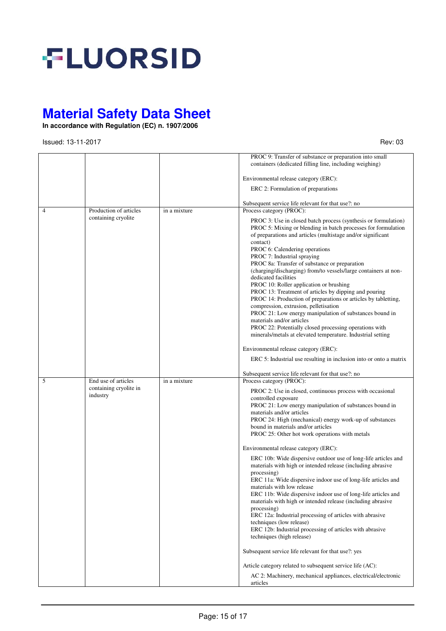

**In accordance with Regulation (EC) n. 1907/2006** 

**Issued: 13-11-2017** Rev: 03

|   |                                               |              | PROC 9: Transfer of substance or preparation into small<br>containers (dedicated filling line, including weighing)                                                                                                                                                                                                                                                                                                                                                                                                                                                                                                                                                                                                                                                                                                                                                                  |
|---|-----------------------------------------------|--------------|-------------------------------------------------------------------------------------------------------------------------------------------------------------------------------------------------------------------------------------------------------------------------------------------------------------------------------------------------------------------------------------------------------------------------------------------------------------------------------------------------------------------------------------------------------------------------------------------------------------------------------------------------------------------------------------------------------------------------------------------------------------------------------------------------------------------------------------------------------------------------------------|
|   |                                               |              | Environmental release category (ERC):                                                                                                                                                                                                                                                                                                                                                                                                                                                                                                                                                                                                                                                                                                                                                                                                                                               |
|   |                                               |              | ERC 2: Formulation of preparations                                                                                                                                                                                                                                                                                                                                                                                                                                                                                                                                                                                                                                                                                                                                                                                                                                                  |
|   |                                               |              | Subsequent service life relevant for that use?: no                                                                                                                                                                                                                                                                                                                                                                                                                                                                                                                                                                                                                                                                                                                                                                                                                                  |
| 4 | Production of articles<br>containing cryolite | in a mixture | Process category (PROC):<br>PROC 3: Use in closed batch process (synthesis or formulation)<br>PROC 5: Mixing or blending in batch processes for formulation<br>of preparations and articles (multistage and/or significant<br>contact)<br>PROC 6: Calendering operations<br>PROC 7: Industrial spraying<br>PROC 8a: Transfer of substance or preparation<br>(charging/discharging) from/to vessels/large containers at non-<br>dedicated facilities<br>PROC 10: Roller application or brushing<br>PROC 13: Treatment of articles by dipping and pouring<br>PROC 14: Production of preparations or articles by tabletting,<br>compression, extrusion, pelletisation<br>PROC 21: Low energy manipulation of substances bound in<br>materials and/or articles<br>PROC 22: Potentially closed processing operations with<br>minerals/metals at elevated temperature. Industrial setting |
|   |                                               |              | Environmental release category (ERC):                                                                                                                                                                                                                                                                                                                                                                                                                                                                                                                                                                                                                                                                                                                                                                                                                                               |
|   |                                               |              | ERC 5: Industrial use resulting in inclusion into or onto a matrix                                                                                                                                                                                                                                                                                                                                                                                                                                                                                                                                                                                                                                                                                                                                                                                                                  |
| 5 | End use of articles                           | in a mixture | Subsequent service life relevant for that use?: no<br>Process category (PROC):                                                                                                                                                                                                                                                                                                                                                                                                                                                                                                                                                                                                                                                                                                                                                                                                      |
|   | containing cryolite in<br>industry            |              | PROC 2: Use in closed, continuous process with occasional<br>controlled exposure<br>PROC 21: Low energy manipulation of substances bound in<br>materials and/or articles<br>PROC 24: High (mechanical) energy work-up of substances<br>bound in materials and/or articles<br>PROC 25: Other hot work operations with metals<br>Environmental release category (ERC):<br>ERC 10b: Wide dispersive outdoor use of long-life articles and                                                                                                                                                                                                                                                                                                                                                                                                                                              |
|   |                                               |              | materials with high or intended release (including abrasive<br>processing)<br>ERC 11a: Wide dispersive indoor use of long-life articles and<br>materials with low release<br>ERC 11b: Wide dispersive indoor use of long-life articles and<br>materials with high or intended release (including abrasive<br>processing)<br>ERC 12a: Industrial processing of articles with abrasive<br>techniques (low release)<br>ERC 12b: Industrial processing of articles with abrasive<br>techniques (high release)                                                                                                                                                                                                                                                                                                                                                                           |
|   |                                               |              | Subsequent service life relevant for that use?: yes                                                                                                                                                                                                                                                                                                                                                                                                                                                                                                                                                                                                                                                                                                                                                                                                                                 |
|   |                                               |              | Article category related to subsequent service life (AC):                                                                                                                                                                                                                                                                                                                                                                                                                                                                                                                                                                                                                                                                                                                                                                                                                           |
|   |                                               |              | AC 2: Machinery, mechanical appliances, electrical/electronic<br>articles                                                                                                                                                                                                                                                                                                                                                                                                                                                                                                                                                                                                                                                                                                                                                                                                           |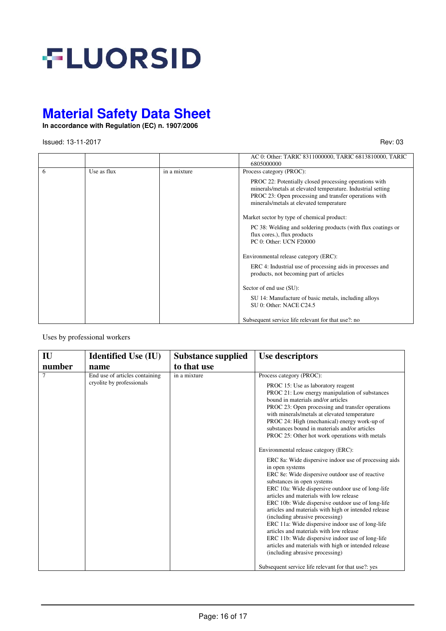

**In accordance with Regulation (EC) n. 1907/2006** 

**Issued: 13-11-2017** Rev: 03

|    |             |              | AC 0: Other: TARIC 8311000000, TARIC 6813810000, TARIC<br>6805000000                                                                                                                                                      |
|----|-------------|--------------|---------------------------------------------------------------------------------------------------------------------------------------------------------------------------------------------------------------------------|
| -6 | Use as flux | in a mixture | Process category (PROC):                                                                                                                                                                                                  |
|    |             |              | PROC 22: Potentially closed processing operations with<br>minerals/metals at elevated temperature. Industrial setting<br>PROC 23: Open processing and transfer operations with<br>minerals/metals at elevated temperature |
|    |             |              | Market sector by type of chemical product:                                                                                                                                                                                |
|    |             |              | PC 38: Welding and soldering products (with flux coatings or<br>flux cores.), flux products<br>PC 0: Other: UCN F20000                                                                                                    |
|    |             |              | Environmental release category (ERC):                                                                                                                                                                                     |
|    |             |              | ERC 4: Industrial use of processing aids in processes and<br>products, not becoming part of articles                                                                                                                      |
|    |             |              | Sector of end use (SU):                                                                                                                                                                                                   |
|    |             |              | SU 14: Manufacture of basic metals, including alloys<br>SU 0: Other: NACE C24.5                                                                                                                                           |
|    |             |              | Subsequent service life relevant for that use?: no                                                                                                                                                                        |

Uses by professional workers

| IU     | <b>Identified Use (IU)</b>                                  | <b>Substance supplied</b> | <b>Use descriptors</b>                                                                                                                                                                                                                                                                                                                                                                                                                                                                                                                                                                                                                                                                                                                                                                                                                                                                                                                                                                                                                                                         |
|--------|-------------------------------------------------------------|---------------------------|--------------------------------------------------------------------------------------------------------------------------------------------------------------------------------------------------------------------------------------------------------------------------------------------------------------------------------------------------------------------------------------------------------------------------------------------------------------------------------------------------------------------------------------------------------------------------------------------------------------------------------------------------------------------------------------------------------------------------------------------------------------------------------------------------------------------------------------------------------------------------------------------------------------------------------------------------------------------------------------------------------------------------------------------------------------------------------|
| number | name                                                        | to that use               |                                                                                                                                                                                                                                                                                                                                                                                                                                                                                                                                                                                                                                                                                                                                                                                                                                                                                                                                                                                                                                                                                |
| 7      | End use of articles containing<br>cryolite by professionals | in a mixture              | Process category (PROC):<br>PROC 15: Use as laboratory reagent<br>PROC 21: Low energy manipulation of substances<br>bound in materials and/or articles<br>PROC 23: Open processing and transfer operations<br>with minerals/metals at elevated temperature<br>PROC 24: High (mechanical) energy work-up of<br>substances bound in materials and/or articles<br>PROC 25: Other hot work operations with metals<br>Environmental release category (ERC):<br>ERC 8a: Wide dispersive indoor use of processing aids<br>in open systems<br>ERC 8e: Wide dispersive outdoor use of reactive<br>substances in open systems<br>ERC 10a: Wide dispersive outdoor use of long-life<br>articles and materials with low release<br>ERC 10b: Wide dispersive outdoor use of long-life<br>articles and materials with high or intended release<br>(including abrasive processing)<br>ERC 11a: Wide dispersive indoor use of long-life<br>articles and materials with low release<br>ERC 11b: Wide dispersive indoor use of long-life<br>articles and materials with high or intended release |
|        |                                                             |                           | (including abrasive processing)                                                                                                                                                                                                                                                                                                                                                                                                                                                                                                                                                                                                                                                                                                                                                                                                                                                                                                                                                                                                                                                |
|        |                                                             |                           | Subsequent service life relevant for that use?: yes                                                                                                                                                                                                                                                                                                                                                                                                                                                                                                                                                                                                                                                                                                                                                                                                                                                                                                                                                                                                                            |